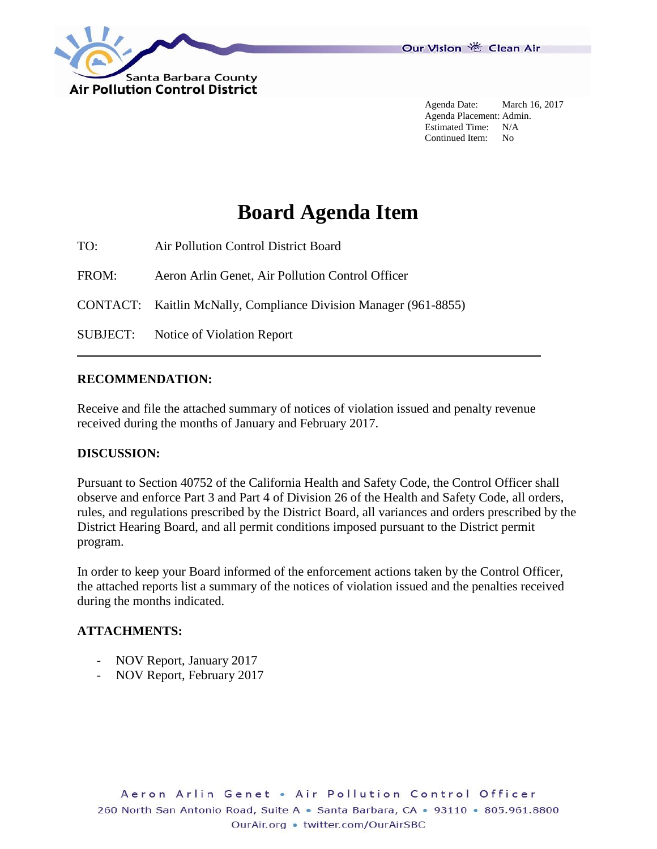

Agenda Date: March 16, 2017 Agenda Placement: Admin. Estimated Time: N/A Continued Item: No

## **Board Agenda Item**

TO: Air Pollution Control District Board

FROM: Aeron Arlin Genet, Air Pollution Control Officer

CONTACT: Kaitlin McNally, Compliance Division Manager (961-8855)

SUBJECT: Notice of Violation Report

## **RECOMMENDATION:**

Receive and file the attached summary of notices of violation issued and penalty revenue received during the months of January and February 2017.

## **DISCUSSION:**

Pursuant to Section 40752 of the California Health and Safety Code, the Control Officer shall observe and enforce Part 3 and Part 4 of Division 26 of the Health and Safety Code, all orders, rules, and regulations prescribed by the District Board, all variances and orders prescribed by the District Hearing Board, and all permit conditions imposed pursuant to the District permit program.

In order to keep your Board informed of the enforcement actions taken by the Control Officer, the attached reports list a summary of the notices of violation issued and the penalties received during the months indicated.

## **ATTACHMENTS:**

- NOV Report, January 2017
- NOV Report, February 2017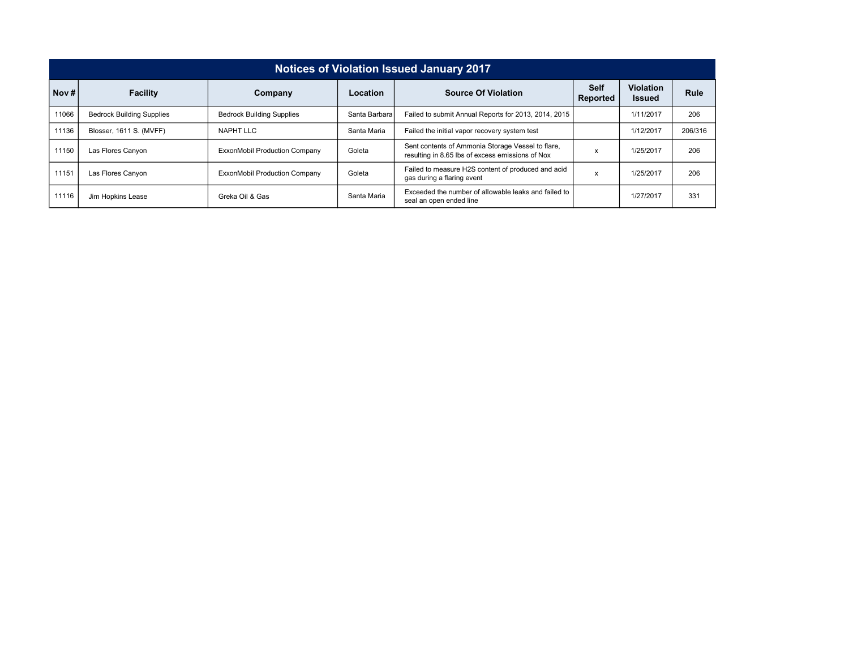| <b>Notices of Violation Issued January 2017</b> |                                  |                                      |               |                                                                                                       |   |                                   |             |  |  |  |
|-------------------------------------------------|----------------------------------|--------------------------------------|---------------|-------------------------------------------------------------------------------------------------------|---|-----------------------------------|-------------|--|--|--|
| Nov $#$                                         | <b>Facility</b>                  | Company                              | Location      | <b>Self</b><br><b>Source Of Violation</b><br>Reported                                                 |   | <b>Violation</b><br><b>Issued</b> | <b>Rule</b> |  |  |  |
| 11066                                           | <b>Bedrock Building Supplies</b> | <b>Bedrock Building Supplies</b>     | Santa Barbara | Failed to submit Annual Reports for 2013, 2014, 2015                                                  |   | 1/11/2017                         | 206         |  |  |  |
| 11136                                           | Blosser, 1611 S. (MVFF)          | NAPHT LLC                            | Santa Maria   | Failed the initial vapor recovery system test                                                         |   | 1/12/2017                         | 206/316     |  |  |  |
| 11150                                           | Las Flores Canyon                | <b>ExxonMobil Production Company</b> | Goleta        | Sent contents of Ammonia Storage Vessel to flare,<br>resulting in 8.65 lbs of excess emissions of Nox | x | 1/25/2017                         | 206         |  |  |  |
| 11151                                           | Las Flores Canyon                | <b>ExxonMobil Production Company</b> | Goleta        | Failed to measure H2S content of produced and acid<br>gas during a flaring event                      | x | 1/25/2017                         | 206         |  |  |  |
| 11116                                           | Jim Hopkins Lease                | Greka Oil & Gas                      | Santa Maria   | Exceeded the number of allowable leaks and failed to<br>seal an open ended line                       |   | 1/27/2017                         | 331         |  |  |  |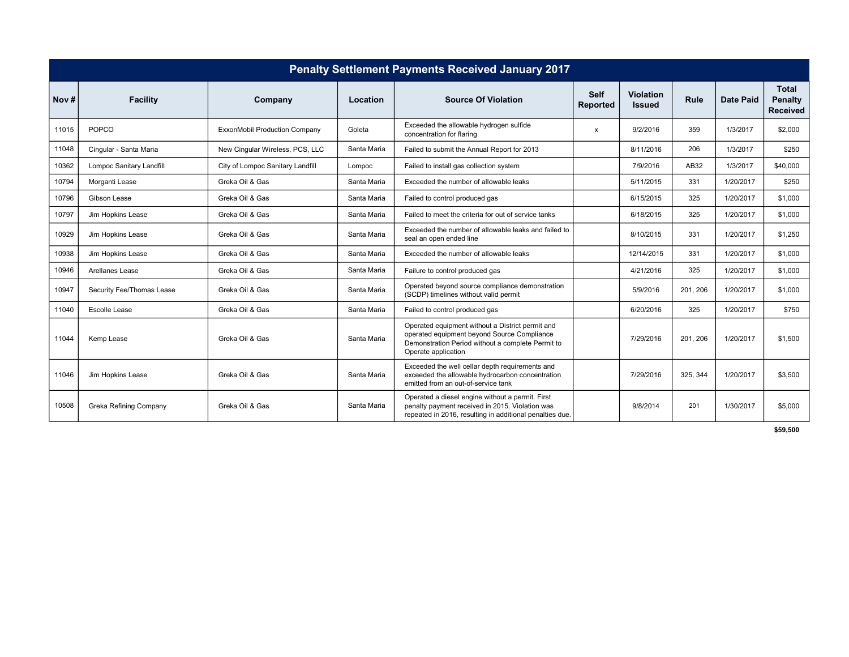| <b>Penalty Settlement Payments Received January 2017</b> |                           |                                      |             |                                                                                                                                                                             |                         |                                   |             |                  |                                                   |
|----------------------------------------------------------|---------------------------|--------------------------------------|-------------|-----------------------------------------------------------------------------------------------------------------------------------------------------------------------------|-------------------------|-----------------------------------|-------------|------------------|---------------------------------------------------|
| Nov#                                                     | <b>Facility</b>           | Company                              | Location    | <b>Source Of Violation</b>                                                                                                                                                  | <b>Self</b><br>Reported | <b>Violation</b><br><b>Issued</b> | <b>Rule</b> | <b>Date Paid</b> | <b>Total</b><br><b>Penalty</b><br><b>Received</b> |
| 11015                                                    | <b>POPCO</b>              | <b>ExxonMobil Production Company</b> | Goleta      | Exceeded the allowable hydrogen sulfide<br>concentration for flaring                                                                                                        | $\mathsf{x}$            | 9/2/2016                          | 359         | 1/3/2017         | \$2,000                                           |
| 11048                                                    | Cingular - Santa Maria    | New Cinqular Wireless, PCS, LLC      | Santa Maria | Failed to submit the Annual Report for 2013                                                                                                                                 |                         | 8/11/2016                         | 206         | 1/3/2017         | \$250                                             |
| 10362                                                    | Lompoc Sanitary Landfill  | City of Lompoc Sanitary Landfill     | Lompoc      | Failed to install gas collection system                                                                                                                                     |                         | 7/9/2016                          | AB32        | 1/3/2017         | \$40,000                                          |
| 10794                                                    | Morganti Lease            | Greka Oil & Gas                      | Santa Maria | Exceeded the number of allowable leaks                                                                                                                                      |                         | 5/11/2015                         | 331         | 1/20/2017        | \$250                                             |
| 10796                                                    | Gibson Lease              | Greka Oil & Gas                      | Santa Maria | Failed to control produced gas                                                                                                                                              |                         | 6/15/2015                         | 325         | 1/20/2017        | \$1,000                                           |
| 10797                                                    | Jim Hopkins Lease         | Greka Oil & Gas                      | Santa Maria | Failed to meet the criteria for out of service tanks                                                                                                                        |                         | 6/18/2015                         | 325         | 1/20/2017        | \$1,000                                           |
| 10929                                                    | Jim Hopkins Lease         | Greka Oil & Gas                      | Santa Maria | Exceeded the number of allowable leaks and failed to<br>seal an open ended line                                                                                             |                         | 8/10/2015                         | 331         | 1/20/2017        | \$1,250                                           |
| 10938                                                    | Jim Hopkins Lease         | Greka Oil & Gas                      | Santa Maria | Exceeded the number of allowable leaks                                                                                                                                      |                         | 12/14/2015                        | 331         | 1/20/2017        | \$1,000                                           |
| 10946                                                    | Arellanes Lease           | Greka Oil & Gas                      | Santa Maria | Failure to control produced gas                                                                                                                                             |                         | 4/21/2016                         | 325         | 1/20/2017        | \$1,000                                           |
| 10947                                                    | Security Fee/Thomas Lease | Greka Oil & Gas                      | Santa Maria | Operated beyond source compliance demonstration<br>(SCDP) timelines without valid permit                                                                                    |                         | 5/9/2016                          | 201, 206    | 1/20/2017        | \$1,000                                           |
| 11040                                                    | <b>Escolle Lease</b>      | Greka Oil & Gas                      | Santa Maria | Failed to control produced gas                                                                                                                                              |                         | 6/20/2016                         | 325         | 1/20/2017        | \$750                                             |
| 11044                                                    | Kemp Lease                | Greka Oil & Gas                      | Santa Maria | Operated equipment without a District permit and<br>operated equipment beyond Source Compliance<br>Demonstration Period without a complete Permit to<br>Operate application |                         | 7/29/2016                         | 201, 206    | 1/20/2017        | \$1,500                                           |
| 11046                                                    | Jim Hopkins Lease         | Greka Oil & Gas                      | Santa Maria | Exceeded the well cellar depth requirements and<br>exceeded the allowable hydrocarbon concentration<br>emitted from an out-of-service tank                                  |                         | 7/29/2016                         | 325, 344    | 1/20/2017        | \$3,500                                           |
| 10508                                                    | Greka Refining Company    | Greka Oil & Gas                      | Santa Maria | Operated a diesel engine without a permit. First<br>penalty payment received in 2015. Violation was<br>repeated in 2016, resulting in additional penalties due.             |                         | 9/8/2014                          | 201         | 1/30/2017        | \$5,000                                           |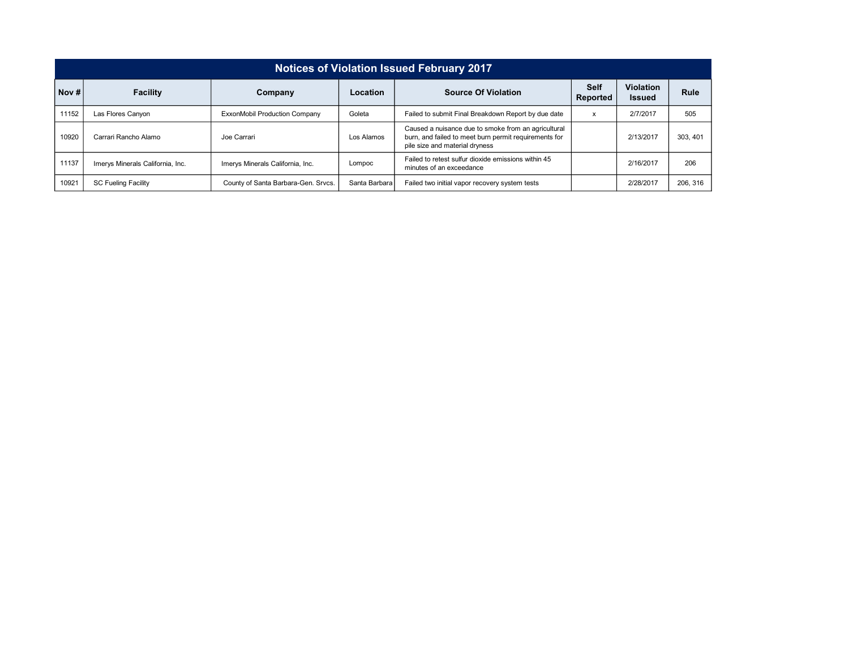| <b>Notices of Violation Issued February 2017</b> |                                  |                                     |               |                                                                                                                                                |   |                                   |          |  |  |  |
|--------------------------------------------------|----------------------------------|-------------------------------------|---------------|------------------------------------------------------------------------------------------------------------------------------------------------|---|-----------------------------------|----------|--|--|--|
| Nov#                                             | <b>Facility</b>                  | Company                             | Location      | <b>Source Of Violation</b><br>Reported                                                                                                         |   | <b>Violation</b><br><b>Issued</b> | Rule     |  |  |  |
| 11152                                            | Las Flores Canyon                | ExxonMobil Production Company       | Goleta        | Failed to submit Final Breakdown Report by due date                                                                                            | x | 2/7/2017                          | 505      |  |  |  |
| 10920                                            | Carrari Rancho Alamo             | Joe Carrari                         | Los Alamos    | Caused a nuisance due to smoke from an agricultural<br>burn, and failed to meet burn permit requirements for<br>pile size and material dryness |   | 2/13/2017                         | 303, 401 |  |  |  |
| 11137                                            | Imerys Minerals California, Inc. | Imerys Minerals California, Inc.    | Lompoc        | Failed to retest sulfur dioxide emissions within 45<br>minutes of an exceedance                                                                |   | 2/16/2017                         | 206      |  |  |  |
| 10921                                            | <b>SC Fueling Facility</b>       | County of Santa Barbara-Gen. Srvcs. | Santa Barbara | Failed two initial vapor recovery system tests                                                                                                 |   | 2/28/2017                         | 206, 316 |  |  |  |